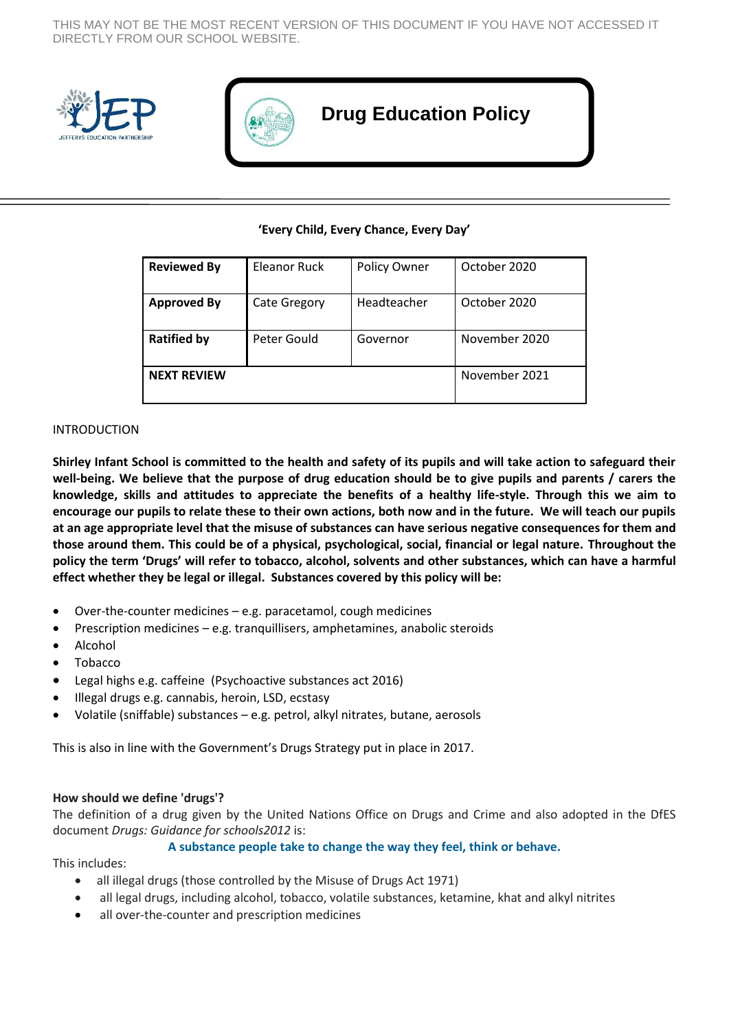THIS MAY NOT BE THE MOST RECENT VERSION OF THIS DOCUMENT IF YOU HAVE NOT ACCESSED IT DIRECTLY FROM OUR SCHOOL WEBSITE.





# **Drug Education Policy**

#### **'Every Child, Every Chance, Every Day'**

| <b>Reviewed By</b> | Eleanor Ruck | Policy Owner | October 2020  |
|--------------------|--------------|--------------|---------------|
| <b>Approved By</b> | Cate Gregory | Headteacher  | October 2020  |
| <b>Ratified by</b> | Peter Gould  | Governor     | November 2020 |
| <b>NEXT REVIEW</b> |              |              | November 2021 |

#### INTRODUCTION

**Shirley Infant School is committed to the health and safety of its pupils and will take action to safeguard their well-being. We believe that the purpose of drug education should be to give pupils and parents / carers the knowledge, skills and attitudes to appreciate the benefits of a healthy life-style. Through this we aim to encourage our pupils to relate these to their own actions, both now and in the future. We will teach our pupils at an age appropriate level that the misuse of substances can have serious negative consequences for them and those around them. This could be of a physical, psychological, social, financial or legal nature. Throughout the policy the term 'Drugs' will refer to tobacco, alcohol, solvents and other substances, which can have a harmful effect whether they be legal or illegal. Substances covered by this policy will be:**

- Over-the-counter medicines e.g. paracetamol, cough medicines
- **•** Prescription medicines  $-\mathbf{e}.\mathbf{g}$ , tranquillisers, amphetamines, anabolic steroids
- Alcohol
- Tobacco
- Legal highs e.g. caffeine (Psychoactive substances act 2016)
- Illegal drugs e.g. cannabis, heroin, LSD, ecstasy
- Volatile (sniffable) substances e.g. petrol, alkyl nitrates, butane, aerosols

This is also in line with the Government's Drugs Strategy put in place in 2017.

#### **How should we define 'drugs'?**

The definition of a drug given by the United Nations Office on Drugs and Crime and also adopted in the DfES document *Drugs: Guidance for schools2012* is:

#### **A substance people take to change the way they feel, think or behave.**

This includes:

- all illegal drugs (those controlled by the Misuse of Drugs Act 1971)
- all legal drugs, including alcohol, tobacco, volatile substances, ketamine, khat and alkyl nitrites
- all over-the-counter and prescription medicines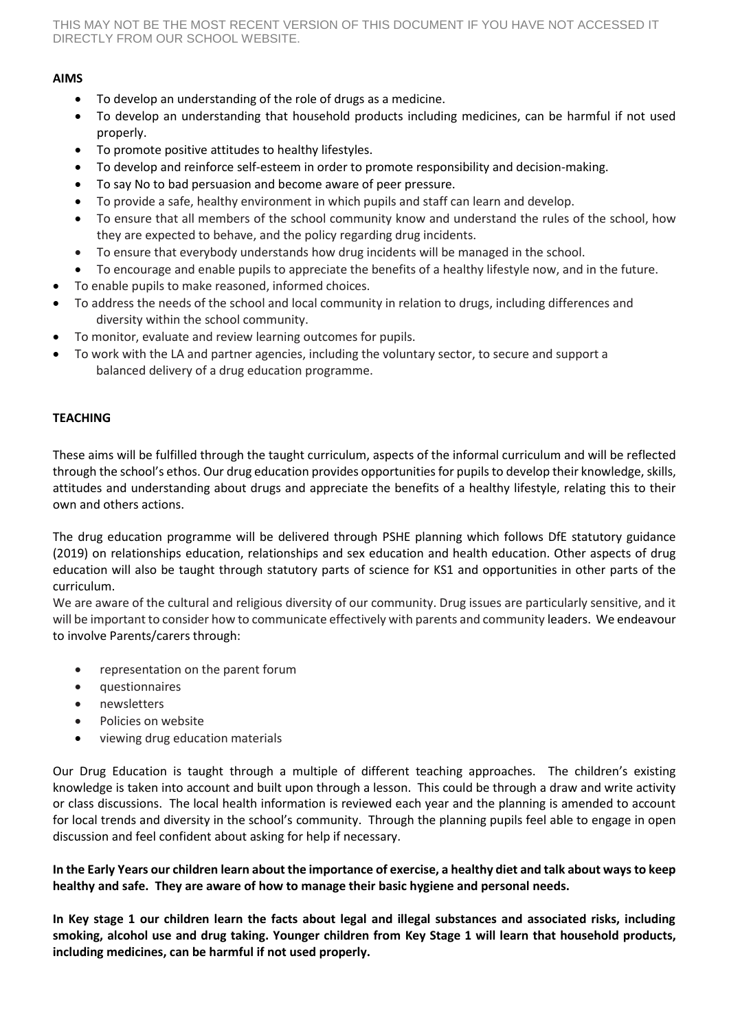THIS MAY NOT BE THE MOST RECENT VERSION OF THIS DOCUMENT IF YOU HAVE NOT ACCESSED IT DIRECTLY FROM OUR SCHOOL WEBSITE.

## **AIMS**

- To develop an understanding of the role of drugs as a medicine.
- To develop an understanding that household products including medicines, can be harmful if not used properly.
- To promote positive attitudes to healthy lifestyles.
- To develop and reinforce self-esteem in order to promote responsibility and decision-making.
- To say No to bad persuasion and become aware of peer pressure.
- To provide a safe, healthy environment in which pupils and staff can learn and develop.
- To ensure that all members of the school community know and understand the rules of the school, how they are expected to behave, and the policy regarding drug incidents.
- To ensure that everybody understands how drug incidents will be managed in the school.
- To encourage and enable pupils to appreciate the benefits of a healthy lifestyle now, and in the future.
- To enable pupils to make reasoned, informed choices.
- To address the needs of the school and local community in relation to drugs, including differences and diversity within the school community.
- To monitor, evaluate and review learning outcomes for pupils.
- To work with the LA and partner agencies, including the voluntary sector, to secure and support a balanced delivery of a drug education programme.

# **TEACHING**

These aims will be fulfilled through the taught curriculum, aspects of the informal curriculum and will be reflected through the school's ethos. Our drug education provides opportunities for pupils to develop their knowledge, skills, attitudes and understanding about drugs and appreciate the benefits of a healthy lifestyle, relating this to their own and others actions.

The drug education programme will be delivered through PSHE planning which follows DfE statutory guidance (2019) on relationships education, relationships and sex education and health education. Other aspects of drug education will also be taught through statutory parts of science for KS1 and opportunities in other parts of the curriculum.

We are aware of the cultural and religious diversity of our community. Drug issues are particularly sensitive, and it will be important to consider how to communicate effectively with parents and community leaders. We endeavour to involve Parents/carers through:

- representation on the parent forum
- questionnaires
- newsletters
- Policies on website
- viewing drug education materials

Our Drug Education is taught through a multiple of different teaching approaches. The children's existing knowledge is taken into account and built upon through a lesson. This could be through a draw and write activity or class discussions. The local health information is reviewed each year and the planning is amended to account for local trends and diversity in the school's community. Through the planning pupils feel able to engage in open discussion and feel confident about asking for help if necessary.

**In the Early Years our children learn about the importance of exercise, a healthy diet and talk about ways to keep healthy and safe. They are aware of how to manage their basic hygiene and personal needs.**

**In Key stage 1 our children learn the facts about legal and illegal substances and associated risks, including smoking, alcohol use and drug taking. Younger children from Key Stage 1 will learn that household products, including medicines, can be harmful if not used properly.**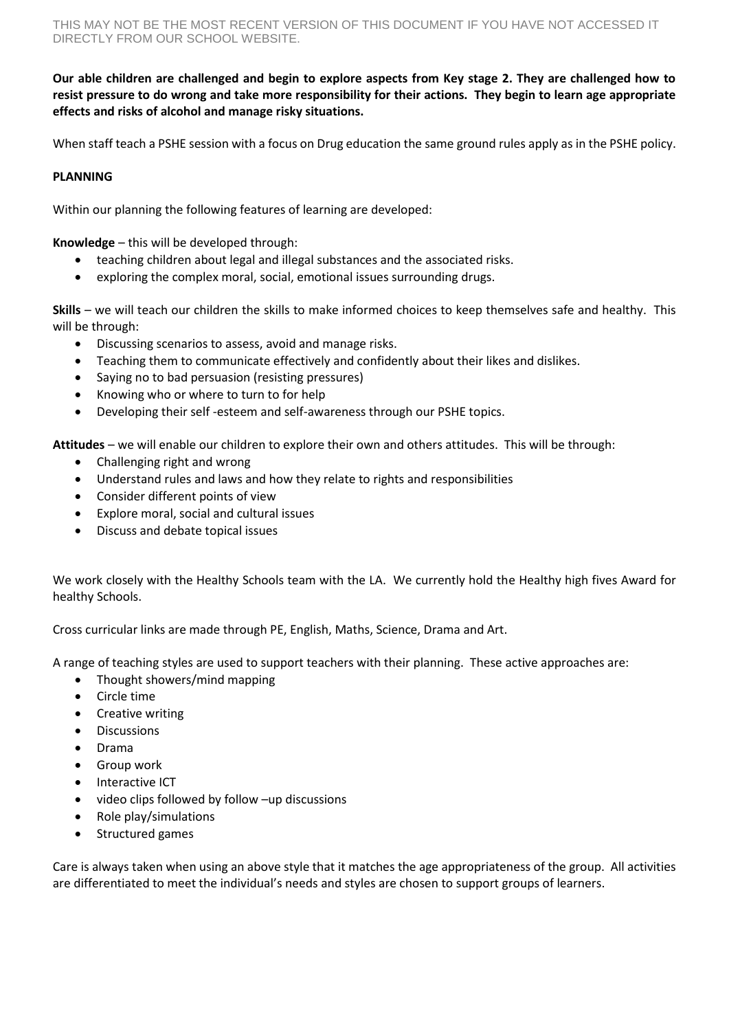**Our able children are challenged and begin to explore aspects from Key stage 2. They are challenged how to resist pressure to do wrong and take more responsibility for their actions. They begin to learn age appropriate effects and risks of alcohol and manage risky situations.**

When staff teach a PSHE session with a focus on Drug education the same ground rules apply as in the PSHE policy.

## **PLANNING**

Within our planning the following features of learning are developed:

**Knowledge** – this will be developed through:

- teaching children about legal and illegal substances and the associated risks.
- exploring the complex moral, social, emotional issues surrounding drugs.

**Skills** – we will teach our children the skills to make informed choices to keep themselves safe and healthy. This will be through:

- Discussing scenarios to assess, avoid and manage risks.
- Teaching them to communicate effectively and confidently about their likes and dislikes.
- Saying no to bad persuasion (resisting pressures)
- Knowing who or where to turn to for help
- Developing their self -esteem and self-awareness through our PSHE topics.

**Attitudes** – we will enable our children to explore their own and others attitudes. This will be through:

- Challenging right and wrong
- Understand rules and laws and how they relate to rights and responsibilities
- Consider different points of view
- Explore moral, social and cultural issues
- Discuss and debate topical issues

We work closely with the Healthy Schools team with the LA. We currently hold the Healthy high fives Award for healthy Schools.

Cross curricular links are made through PE, English, Maths, Science, Drama and Art.

A range of teaching styles are used to support teachers with their planning. These active approaches are:

- Thought showers/mind mapping
- Circle time
- Creative writing
- **•** Discussions
- Drama
- Group work
- Interactive ICT
- video clips followed by follow –up discussions
- Role play/simulations
- Structured games

Care is always taken when using an above style that it matches the age appropriateness of the group. All activities are differentiated to meet the individual's needs and styles are chosen to support groups of learners.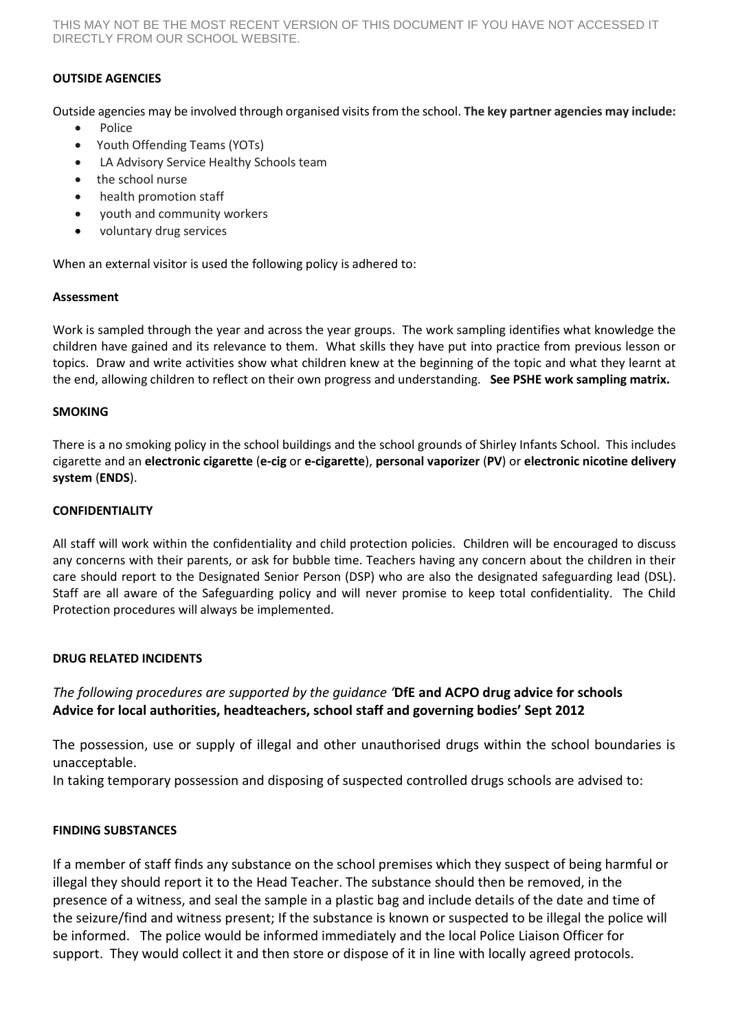THIS MAY NOT BE THE MOST RECENT VERSION OF THIS DOCUMENT IF YOU HAVE NOT ACCESSED IT DIRECTLY FROM OUR SCHOOL WEBSITE.

# **OUTSIDE AGENCIES**

Outside agencies may be involved through organised visits from the school. **The key partner agencies may include:**

- Police
- Youth Offending Teams (YOTs)
- LA Advisory Service Healthy Schools team
- the school nurse
- health promotion staff
- youth and community workers
- voluntary drug services

When an external visitor is used the following policy is adhered to:

#### **Assessment**

Work is sampled through the year and across the year groups. The work sampling identifies what knowledge the children have gained and its relevance to them. What skills they have put into practice from previous lesson or topics. Draw and write activities show what children knew at the beginning of the topic and what they learnt at the end, allowing children to reflect on their own progress and understanding. **See PSHE work sampling matrix.** 

#### **SMOKING**

There is a no smoking policy in the school buildings and the school grounds of Shirley Infants School. This includes cigarette and an **electronic cigarette** (**e-cig** or **e-cigarette**), **personal vaporizer** (**PV**) or **electronic nicotine delivery system** (**ENDS**).

#### **CONFIDENTIALITY**

All staff will work within the confidentiality and child protection policies. Children will be encouraged to discuss any concerns with their parents, or ask for bubble time. Teachers having any concern about the children in their care should report to the Designated Senior Person (DSP) who are also the designated safeguarding lead (DSL). Staff are all aware of the Safeguarding policy and will never promise to keep total confidentiality. The Child Protection procedures will always be implemented.

#### **DRUG RELATED INCIDENTS**

# *The following procedures are supported by the guidance '***DfE and ACPO drug advice for schools Advice for local authorities, headteachers, school staff and governing bodies' Sept 2012**

The possession, use or supply of illegal and other unauthorised drugs within the school boundaries is unacceptable.

In taking temporary possession and disposing of suspected controlled drugs schools are advised to:

#### **FINDING SUBSTANCES**

If a member of staff finds any substance on the school premises which they suspect of being harmful or illegal they should report it to the Head Teacher. The substance should then be removed, in the presence of a witness, and seal the sample in a plastic bag and include details of the date and time of the seizure/find and witness present; If the substance is known or suspected to be illegal the police will be informed. The police would be informed immediately and the local Police Liaison Officer for support. They would collect it and then store or dispose of it in line with locally agreed protocols.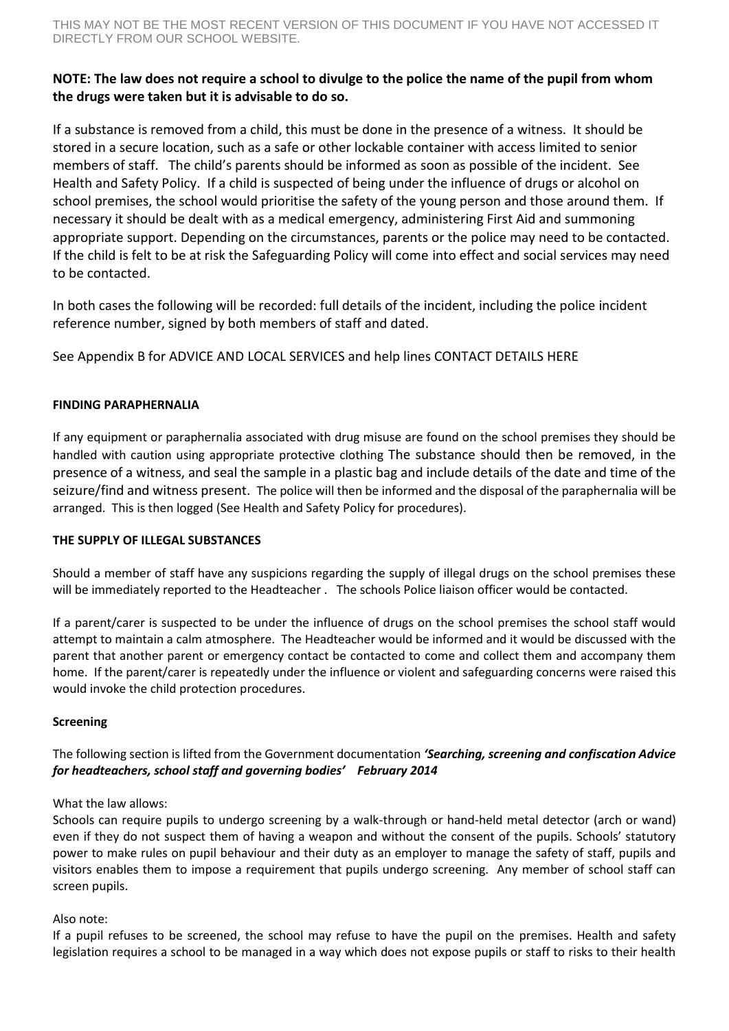# **NOTE: The law does not require a school to divulge to the police the name of the pupil from whom the drugs were taken but it is advisable to do so.**

If a substance is removed from a child, this must be done in the presence of a witness. It should be stored in a secure location, such as a safe or other lockable container with access limited to senior members of staff. The child's parents should be informed as soon as possible of the incident. See Health and Safety Policy. If a child is suspected of being under the influence of drugs or alcohol on school premises, the school would prioritise the safety of the young person and those around them. If necessary it should be dealt with as a medical emergency, administering First Aid and summoning appropriate support. Depending on the circumstances, parents or the police may need to be contacted. If the child is felt to be at risk the Safeguarding Policy will come into effect and social services may need to be contacted.

In both cases the following will be recorded: full details of the incident, including the police incident reference number, signed by both members of staff and dated.

See Appendix B for ADVICE AND LOCAL SERVICES and help lines CONTACT DETAILS HERE

# **FINDING PARAPHERNALIA**

If any equipment or paraphernalia associated with drug misuse are found on the school premises they should be handled with caution using appropriate protective clothing The substance should then be removed, in the presence of a witness, and seal the sample in a plastic bag and include details of the date and time of the seizure/find and witness present. The police will then be informed and the disposal of the paraphernalia will be arranged. This is then logged (See Health and Safety Policy for procedures).

#### **THE SUPPLY OF ILLEGAL SUBSTANCES**

Should a member of staff have any suspicions regarding the supply of illegal drugs on the school premises these will be immediately reported to the Headteacher . The schools Police liaison officer would be contacted.

If a parent/carer is suspected to be under the influence of drugs on the school premises the school staff would attempt to maintain a calm atmosphere. The Headteacher would be informed and it would be discussed with the parent that another parent or emergency contact be contacted to come and collect them and accompany them home. If the parent/carer is repeatedly under the influence or violent and safeguarding concerns were raised this would invoke the child protection procedures.

#### **Screening**

# The following section is lifted from the Government documentation *'Searching, screening and confiscation Advice for headteachers, school staff and governing bodies' February 2014*

# What the law allows:

Schools can require pupils to undergo screening by a walk-through or hand-held metal detector (arch or wand) even if they do not suspect them of having a weapon and without the consent of the pupils. Schools' statutory power to make rules on pupil behaviour and their duty as an employer to manage the safety of staff, pupils and visitors enables them to impose a requirement that pupils undergo screening. Any member of school staff can screen pupils.

#### Also note:

If a pupil refuses to be screened, the school may refuse to have the pupil on the premises. Health and safety legislation requires a school to be managed in a way which does not expose pupils or staff to risks to their health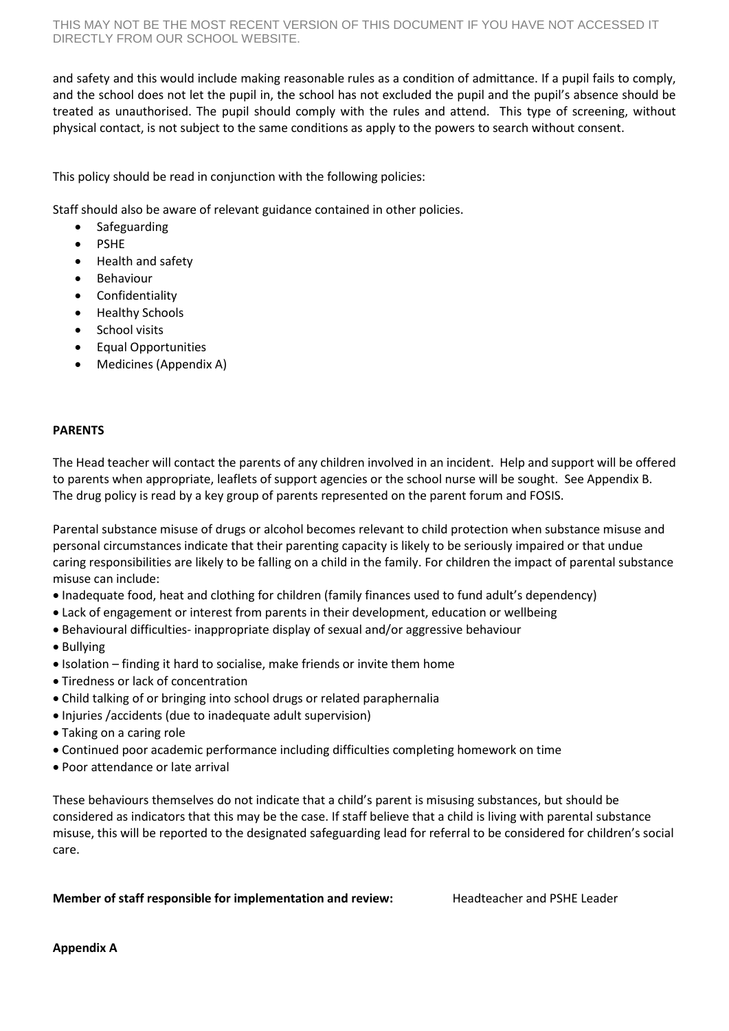and safety and this would include making reasonable rules as a condition of admittance. If a pupil fails to comply, and the school does not let the pupil in, the school has not excluded the pupil and the pupil's absence should be treated as unauthorised. The pupil should comply with the rules and attend. This type of screening, without physical contact, is not subject to the same conditions as apply to the powers to search without consent.

This policy should be read in conjunction with the following policies:

Staff should also be aware of relevant guidance contained in other policies.

- Safeguarding
- PSHE
- Health and safety
- Behaviour
- Confidentiality
- Healthy Schools
- School visits
- Equal Opportunities
- Medicines (Appendix A)

### **PARENTS**

The Head teacher will contact the parents of any children involved in an incident. Help and support will be offered to parents when appropriate, leaflets of support agencies or the school nurse will be sought. See Appendix B. The drug policy is read by a key group of parents represented on the parent forum and FOSIS.

Parental substance misuse of drugs or alcohol becomes relevant to child protection when substance misuse and personal circumstances indicate that their parenting capacity is likely to be seriously impaired or that undue caring responsibilities are likely to be falling on a child in the family. For children the impact of parental substance misuse can include:

- Inadequate food, heat and clothing for children (family finances used to fund adult's dependency)
- Lack of engagement or interest from parents in their development, education or wellbeing
- Behavioural difficulties- inappropriate display of sexual and/or aggressive behaviour
- Bullying
- Isolation finding it hard to socialise, make friends or invite them home
- Tiredness or lack of concentration
- Child talking of or bringing into school drugs or related paraphernalia
- Injuries /accidents (due to inadequate adult supervision)
- Taking on a caring role
- Continued poor academic performance including difficulties completing homework on time
- Poor attendance or late arrival

These behaviours themselves do not indicate that a child's parent is misusing substances, but should be considered as indicators that this may be the case. If staff believe that a child is living with parental substance misuse, this will be reported to the designated safeguarding lead for referral to be considered for children's social care.

#### **Member of staff responsible for implementation and review:** Headteacher and PSHE Leader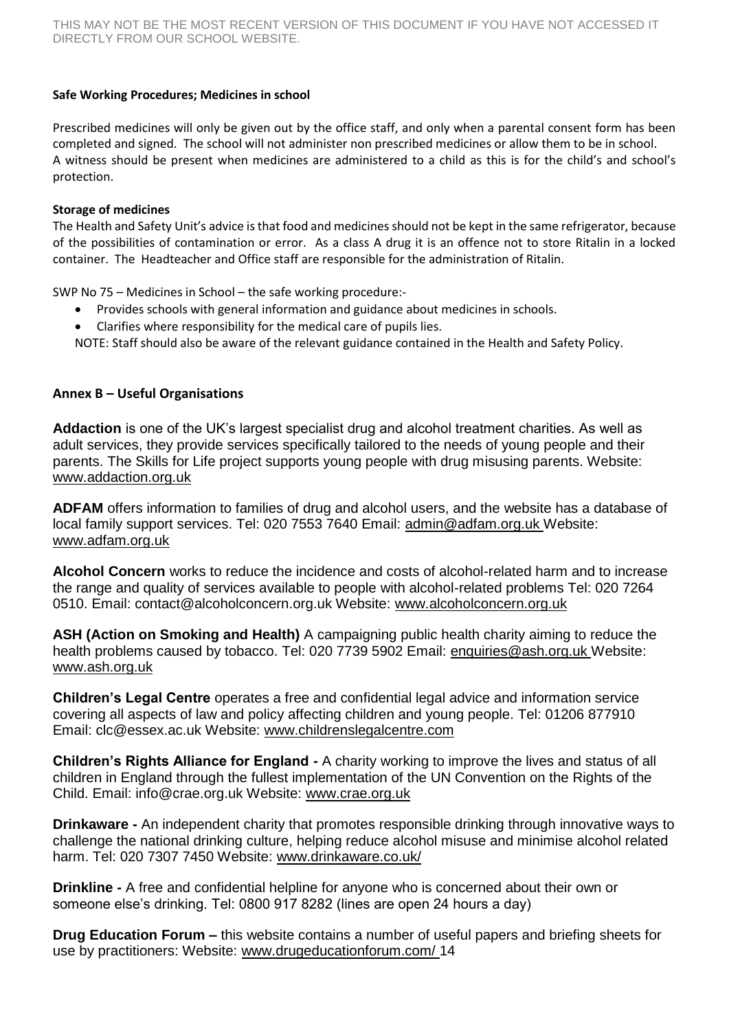### **Safe Working Procedures; Medicines in school**

Prescribed medicines will only be given out by the office staff, and only when a parental consent form has been completed and signed. The school will not administer non prescribed medicines or allow them to be in school. A witness should be present when medicines are administered to a child as this is for the child's and school's protection.

#### **Storage of medicines**

The Health and Safety Unit's advice is that food and medicines should not be kept in the same refrigerator, because of the possibilities of contamination or error. As a class A drug it is an offence not to store Ritalin in a locked container. The Headteacher and Office staff are responsible for the administration of Ritalin.

SWP No 75 – Medicines in School – the safe working procedure:-

- Provides schools with general information and guidance about medicines in schools.
- Clarifies where responsibility for the medical care of pupils lies.
- NOTE: Staff should also be aware of the relevant guidance contained in the Health and Safety Policy.

# **Annex B – Useful Organisations**

**Addaction** is one of the UK's largest specialist drug and alcohol treatment charities. As well as adult services, they provide services specifically tailored to the needs of young people and their parents. The Skills for Life project supports young people with drug misusing parents. Website: www.addaction.org.uk

**ADFAM** offers information to families of drug and alcohol users, and the website has a database of local family support services. Tel: 020 7553 7640 Email: admin@adfam.org.uk Website: www.adfam.org.uk

**Alcohol Concern** works to reduce the incidence and costs of alcohol-related harm and to increase the range and quality of services available to people with alcohol-related problems Tel: 020 7264 0510. Email: contact@alcoholconcern.org.uk Website: www.alcoholconcern.org.uk

**ASH (Action on Smoking and Health)** A campaigning public health charity aiming to reduce the health problems caused by tobacco. Tel: 020 7739 5902 Email: enquiries@ash.org.uk Website: www.ash.org.uk

**Children's Legal Centre** operates a free and confidential legal advice and information service covering all aspects of law and policy affecting children and young people. Tel: 01206 877910 Email: clc@essex.ac.uk Website: www.childrenslegalcentre.com

**Children's Rights Alliance for England -** A charity working to improve the lives and status of all children in England through the fullest implementation of the UN Convention on the Rights of the Child. Email: info@crae.org.uk Website: www.crae.org.uk

**Drinkaware -** An independent charity that promotes responsible drinking through innovative ways to challenge the national drinking culture, helping reduce alcohol misuse and minimise alcohol related harm. Tel: 020 7307 7450 Website: www.drinkaware.co.uk/

**Drinkline -** A free and confidential helpline for anyone who is concerned about their own or someone else's drinking. Tel: 0800 917 8282 (lines are open 24 hours a day)

**Drug Education Forum –** this website contains a number of useful papers and briefing sheets for use by practitioners: Website: www.drugeducationforum.com/ 14